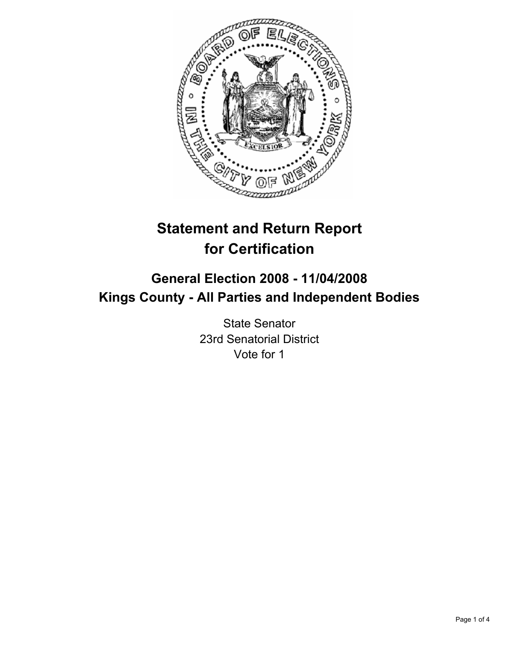

# **Statement and Return Report for Certification**

# **General Election 2008 - 11/04/2008 Kings County - All Parties and Independent Bodies**

State Senator 23rd Senatorial District Vote for 1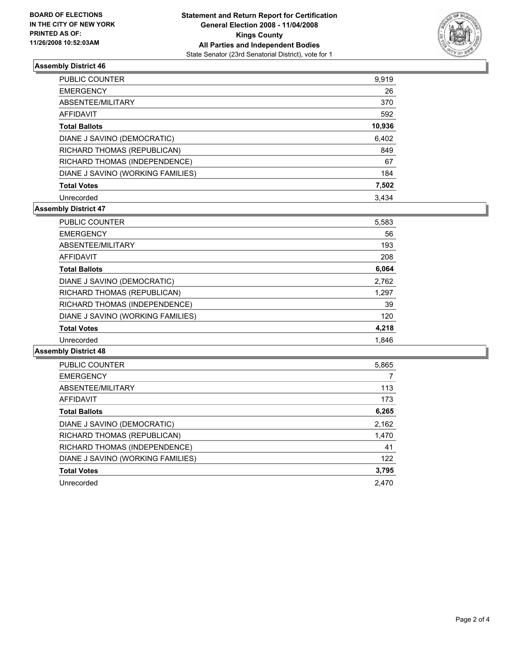

## **Assembly District 46**

| PUBLIC COUNTER                    | 9,919  |
|-----------------------------------|--------|
| <b>EMERGENCY</b>                  | 26     |
| ABSENTEE/MILITARY                 | 370    |
| AFFIDAVIT                         | 592    |
| <b>Total Ballots</b>              | 10,936 |
| DIANE J SAVINO (DEMOCRATIC)       | 6,402  |
| RICHARD THOMAS (REPUBLICAN)       | 849    |
| RICHARD THOMAS (INDEPENDENCE)     | 67     |
| DIANE J SAVINO (WORKING FAMILIES) | 184    |
| <b>Total Votes</b>                | 7,502  |
| Unrecorded                        | 3.434  |

#### **Assembly District 47**

| <b>PUBLIC COUNTER</b>             | 5,583 |  |
|-----------------------------------|-------|--|
| <b>EMERGENCY</b>                  | 56    |  |
| ABSENTEE/MILITARY                 | 193   |  |
| AFFIDAVIT                         | 208   |  |
| <b>Total Ballots</b>              | 6,064 |  |
| DIANE J SAVINO (DEMOCRATIC)       | 2,762 |  |
| RICHARD THOMAS (REPUBLICAN)       | 1,297 |  |
| RICHARD THOMAS (INDEPENDENCE)     | 39    |  |
| DIANE J SAVINO (WORKING FAMILIES) | 120   |  |
| <b>Total Votes</b>                | 4,218 |  |
| Unrecorded                        | 1.846 |  |

#### **Assembly District 48**

| <b>PUBLIC COUNTER</b>             | 5,865 |
|-----------------------------------|-------|
| <b>EMERGENCY</b>                  |       |
| ABSENTEE/MILITARY                 | 113   |
| AFFIDAVIT                         | 173   |
| <b>Total Ballots</b>              | 6,265 |
| DIANE J SAVINO (DEMOCRATIC)       | 2,162 |
| RICHARD THOMAS (REPUBLICAN)       | 1,470 |
| RICHARD THOMAS (INDEPENDENCE)     | 41    |
| DIANE J SAVINO (WORKING FAMILIES) | 122   |
| <b>Total Votes</b>                | 3,795 |
| Unrecorded                        | 2.470 |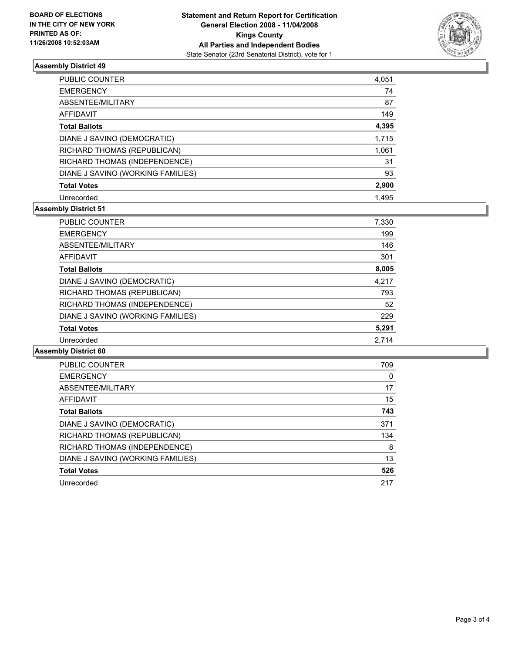

## **Assembly District 49**

| <b>PUBLIC COUNTER</b>             | 4,051 |
|-----------------------------------|-------|
| <b>EMERGENCY</b>                  | 74    |
| ABSENTEE/MILITARY                 | 87    |
| <b>AFFIDAVIT</b>                  | 149   |
| <b>Total Ballots</b>              | 4,395 |
| DIANE J SAVINO (DEMOCRATIC)       | 1,715 |
| RICHARD THOMAS (REPUBLICAN)       | 1,061 |
| RICHARD THOMAS (INDEPENDENCE)     | 31    |
| DIANE J SAVINO (WORKING FAMILIES) | 93    |
| <b>Total Votes</b>                | 2,900 |
| Unrecorded                        | 1.495 |

#### **Assembly District 51**

| PUBLIC COUNTER                    | 7,330 |
|-----------------------------------|-------|
| <b>EMERGENCY</b>                  | 199   |
| ABSENTEE/MILITARY                 | 146   |
| AFFIDAVIT                         | 301   |
| <b>Total Ballots</b>              | 8,005 |
| DIANE J SAVINO (DEMOCRATIC)       | 4,217 |
| RICHARD THOMAS (REPUBLICAN)       | 793   |
| RICHARD THOMAS (INDEPENDENCE)     | 52    |
| DIANE J SAVINO (WORKING FAMILIES) | 229   |
| <b>Total Votes</b>                | 5,291 |
| Unrecorded                        | 2.714 |

#### **Assembly District 60**

| <b>PUBLIC COUNTER</b>             | 709 |
|-----------------------------------|-----|
| <b>EMERGENCY</b>                  | 0   |
| ABSENTEE/MILITARY                 | 17  |
| AFFIDAVIT                         | 15  |
| <b>Total Ballots</b>              | 743 |
| DIANE J SAVINO (DEMOCRATIC)       | 371 |
| RICHARD THOMAS (REPUBLICAN)       | 134 |
| RICHARD THOMAS (INDEPENDENCE)     | 8   |
| DIANE J SAVINO (WORKING FAMILIES) | 13  |
| <b>Total Votes</b>                | 526 |
| Unrecorded                        | 217 |